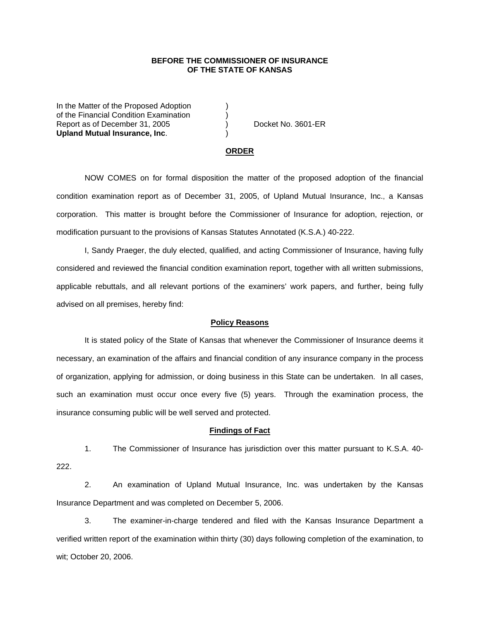# **BEFORE THE COMMISSIONER OF INSURANCE OF THE STATE OF KANSAS**

In the Matter of the Proposed Adoption of the Financial Condition Examination ) Report as of December 31, 2005 (and Separate No. 3601-ER **Upland Mutual Insurance, Inc**. )

#### **ORDER**

 NOW COMES on for formal disposition the matter of the proposed adoption of the financial condition examination report as of December 31, 2005, of Upland Mutual Insurance, Inc., a Kansas corporation. This matter is brought before the Commissioner of Insurance for adoption, rejection, or modification pursuant to the provisions of Kansas Statutes Annotated (K.S.A.) 40-222.

 I, Sandy Praeger, the duly elected, qualified, and acting Commissioner of Insurance, having fully considered and reviewed the financial condition examination report, together with all written submissions, applicable rebuttals, and all relevant portions of the examiners' work papers, and further, being fully advised on all premises, hereby find:

### **Policy Reasons**

 It is stated policy of the State of Kansas that whenever the Commissioner of Insurance deems it necessary, an examination of the affairs and financial condition of any insurance company in the process of organization, applying for admission, or doing business in this State can be undertaken. In all cases, such an examination must occur once every five (5) years. Through the examination process, the insurance consuming public will be well served and protected.

### **Findings of Fact**

 1. The Commissioner of Insurance has jurisdiction over this matter pursuant to K.S.A. 40- 222.

 2. An examination of Upland Mutual Insurance, Inc. was undertaken by the Kansas Insurance Department and was completed on December 5, 2006.

 3. The examiner-in-charge tendered and filed with the Kansas Insurance Department a verified written report of the examination within thirty (30) days following completion of the examination, to wit; October 20, 2006.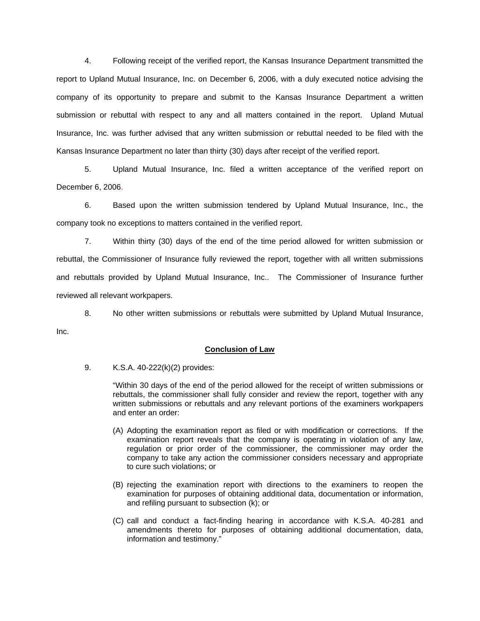4. Following receipt of the verified report, the Kansas Insurance Department transmitted the report to Upland Mutual Insurance, Inc. on December 6, 2006, with a duly executed notice advising the company of its opportunity to prepare and submit to the Kansas Insurance Department a written submission or rebuttal with respect to any and all matters contained in the report. Upland Mutual Insurance, Inc. was further advised that any written submission or rebuttal needed to be filed with the Kansas Insurance Department no later than thirty (30) days after receipt of the verified report.

 5. Upland Mutual Insurance, Inc. filed a written acceptance of the verified report on December 6, 2006.

6. Based upon the written submission tendered by Upland Mutual Insurance, Inc., the company took no exceptions to matters contained in the verified report.

 7. Within thirty (30) days of the end of the time period allowed for written submission or rebuttal, the Commissioner of Insurance fully reviewed the report, together with all written submissions and rebuttals provided by Upland Mutual Insurance, Inc.. The Commissioner of Insurance further reviewed all relevant workpapers.

 8. No other written submissions or rebuttals were submitted by Upland Mutual Insurance, Inc.

## **Conclusion of Law**

9. K.S.A. 40-222(k)(2) provides:

"Within 30 days of the end of the period allowed for the receipt of written submissions or rebuttals, the commissioner shall fully consider and review the report, together with any written submissions or rebuttals and any relevant portions of the examiners workpapers and enter an order:

- (A) Adopting the examination report as filed or with modification or corrections. If the examination report reveals that the company is operating in violation of any law, regulation or prior order of the commissioner, the commissioner may order the company to take any action the commissioner considers necessary and appropriate to cure such violations; or
- (B) rejecting the examination report with directions to the examiners to reopen the examination for purposes of obtaining additional data, documentation or information, and refiling pursuant to subsection (k); or
- (C) call and conduct a fact-finding hearing in accordance with K.S.A. 40-281 and amendments thereto for purposes of obtaining additional documentation, data, information and testimony."